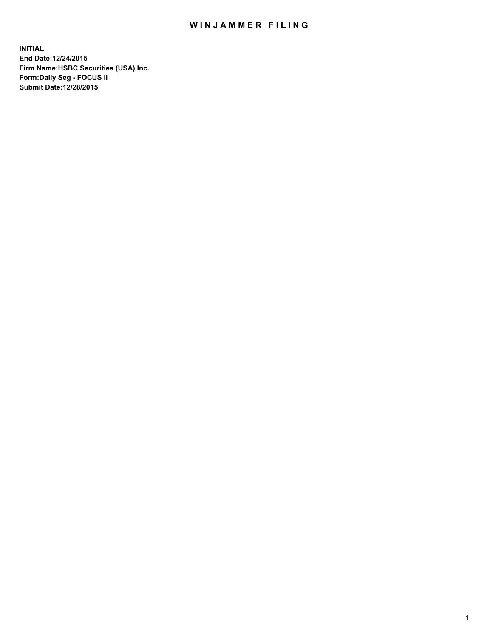## WIN JAMMER FILING

**INITIAL End Date:12/24/2015 Firm Name:HSBC Securities (USA) Inc. Form:Daily Seg - FOCUS II Submit Date:12/28/2015**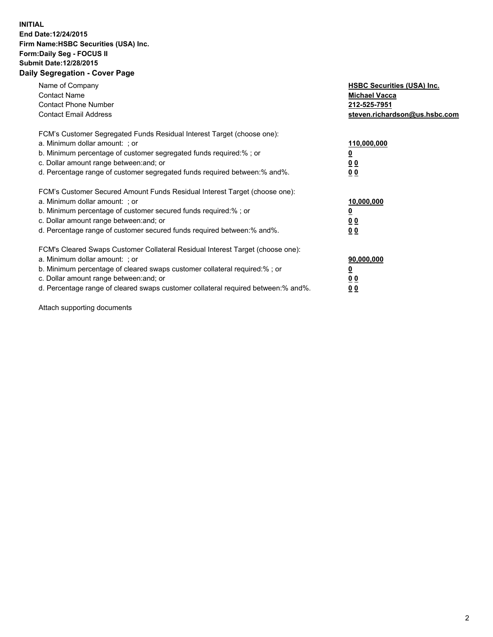## **INITIAL End Date:12/24/2015 Firm Name:HSBC Securities (USA) Inc. Form:Daily Seg - FOCUS II Submit Date:12/28/2015 Daily Segregation - Cover Page**

| Name of Company<br><b>Contact Name</b><br><b>Contact Phone Number</b><br><b>Contact Email Address</b>                                                                                                                                                                                                                          | <b>HSBC Securities (USA) Inc.</b><br><b>Michael Vacca</b><br>212-525-7951<br>steven.richardson@us.hsbc.com |
|--------------------------------------------------------------------------------------------------------------------------------------------------------------------------------------------------------------------------------------------------------------------------------------------------------------------------------|------------------------------------------------------------------------------------------------------------|
| FCM's Customer Segregated Funds Residual Interest Target (choose one):<br>a. Minimum dollar amount: ; or<br>b. Minimum percentage of customer segregated funds required:%; or<br>c. Dollar amount range between: and; or<br>d. Percentage range of customer segregated funds required between:% and%.                          | 110,000,000<br>0 <sub>0</sub><br>00                                                                        |
| FCM's Customer Secured Amount Funds Residual Interest Target (choose one):<br>a. Minimum dollar amount: ; or<br>b. Minimum percentage of customer secured funds required:%; or<br>c. Dollar amount range between: and; or<br>d. Percentage range of customer secured funds required between: % and %.                          | 10,000,000<br><u>00</u><br>0 <sub>0</sub>                                                                  |
| FCM's Cleared Swaps Customer Collateral Residual Interest Target (choose one):<br>a. Minimum dollar amount: ; or<br>b. Minimum percentage of cleared swaps customer collateral required:% ; or<br>c. Dollar amount range between: and; or<br>d. Percentage range of cleared swaps customer collateral required between:% and%. | 90,000,000<br>0 <sub>0</sub><br><u>00</u>                                                                  |

Attach supporting documents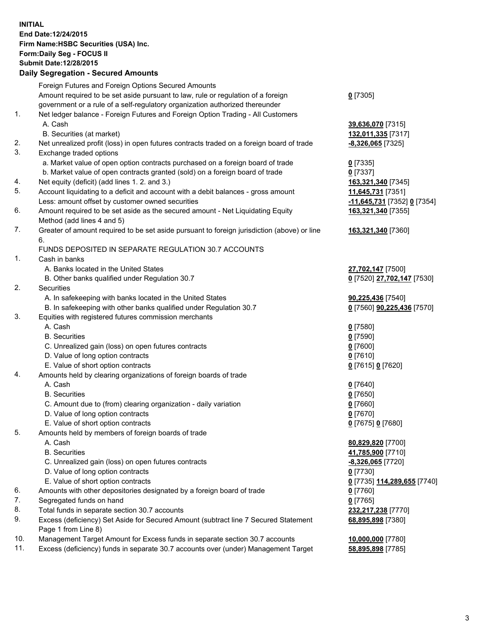**INITIAL End Date:12/24/2015 Firm Name:HSBC Securities (USA) Inc. Form:Daily Seg - FOCUS II Submit Date:12/28/2015 Daily Segregation - Secured Amounts**

## Foreign Futures and Foreign Options Secured Amounts Amount required to be set aside pursuant to law, rule or regulation of a foreign government or a rule of a self-regulatory organization authorized thereunder **0** [7305] 1. Net ledger balance - Foreign Futures and Foreign Option Trading - All Customers A. Cash **39,636,070** [7315] B. Securities (at market) **132,011,335** [7317] 2. Net unrealized profit (loss) in open futures contracts traded on a foreign board of trade **-8,326,065** [7325] 3. Exchange traded options a. Market value of open option contracts purchased on a foreign board of trade **0** [7335] b. Market value of open contracts granted (sold) on a foreign board of trade **0** [7337] 4. Net equity (deficit) (add lines 1. 2. and 3.) **163,321,340** [7345] 5. Account liquidating to a deficit and account with a debit balances - gross amount **11,645,731** [7351] Less: amount offset by customer owned securities **-11,645,731** [7352] **0** [7354] 6. Amount required to be set aside as the secured amount - Net Liquidating Equity Method (add lines 4 and 5) **163,321,340** [7355] 7. Greater of amount required to be set aside pursuant to foreign jurisdiction (above) or line 6. **163,321,340** [7360] FUNDS DEPOSITED IN SEPARATE REGULATION 30.7 ACCOUNTS 1. Cash in banks A. Banks located in the United States **27,702,147** [7500] B. Other banks qualified under Regulation 30.7 **0** [7520] **27,702,147** [7530] 2. Securities A. In safekeeping with banks located in the United States **90,225,436** [7540] B. In safekeeping with other banks qualified under Regulation 30.7 **0** [7560] **90,225,436** [7570] 3. Equities with registered futures commission merchants A. Cash **0** [7580] B. Securities **0** [7590] C. Unrealized gain (loss) on open futures contracts **0** [7600] D. Value of long option contracts **0** [7610] E. Value of short option contracts **0** [7615] **0** [7620] 4. Amounts held by clearing organizations of foreign boards of trade A. Cash **0** [7640] B. Securities **0** [7650] C. Amount due to (from) clearing organization - daily variation **0** [7660] D. Value of long option contracts **0** [7670] E. Value of short option contracts **0** [7675] **0** [7680] 5. Amounts held by members of foreign boards of trade A. Cash **80,829,820** [7700] B. Securities **41,785,900** [7710] C. Unrealized gain (loss) on open futures contracts **-8,326,065** [7720] D. Value of long option contracts **0** [7730] E. Value of short option contracts **0** [7735] **114,289,655** [7740] 6. Amounts with other depositories designated by a foreign board of trade **0** [7760] 7. Segregated funds on hand **0** [7765] 8. Total funds in separate section 30.7 accounts **232,217,238** [7770] 9. Excess (deficiency) Set Aside for Secured Amount (subtract line 7 Secured Statement Page 1 from Line 8) **68,895,898** [7380] 10. Management Target Amount for Excess funds in separate section 30.7 accounts **10,000,000** [7780]

11. Excess (deficiency) funds in separate 30.7 accounts over (under) Management Target **58,895,898** [7785]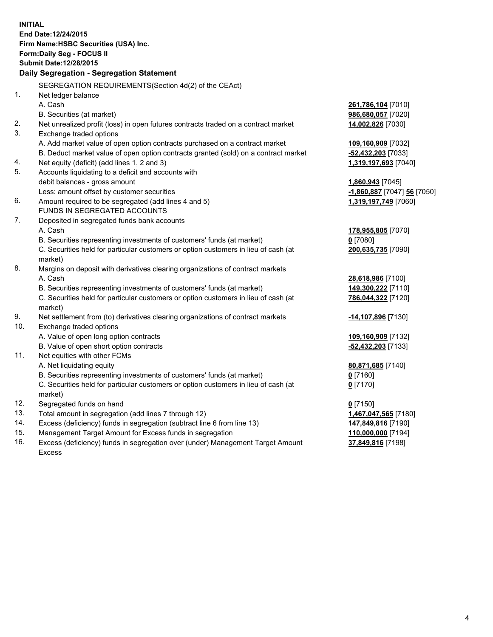|     | <b>INITIAL</b><br>End Date: 12/24/2015<br>Firm Name: HSBC Securities (USA) Inc.<br><b>Form:Daily Seg - FOCUS II</b><br><b>Submit Date: 12/28/2015</b> |                             |
|-----|-------------------------------------------------------------------------------------------------------------------------------------------------------|-----------------------------|
|     | Daily Segregation - Segregation Statement                                                                                                             |                             |
|     | SEGREGATION REQUIREMENTS(Section 4d(2) of the CEAct)                                                                                                  |                             |
| 1.  | Net ledger balance                                                                                                                                    |                             |
|     | A. Cash                                                                                                                                               | 261,786,104 [7010]          |
|     | B. Securities (at market)                                                                                                                             | 986,680,057 [7020]          |
| 2.  | Net unrealized profit (loss) in open futures contracts traded on a contract market                                                                    | 14,002,826 [7030]           |
| 3.  | Exchange traded options                                                                                                                               |                             |
|     | A. Add market value of open option contracts purchased on a contract market                                                                           | 109,160,909 [7032]          |
|     | B. Deduct market value of open option contracts granted (sold) on a contract market                                                                   | -52,432,203 [7033]          |
| 4.  | Net equity (deficit) (add lines 1, 2 and 3)                                                                                                           | 1,319,197,693 [7040]        |
| 5.  | Accounts liquidating to a deficit and accounts with                                                                                                   |                             |
|     | debit balances - gross amount                                                                                                                         | 1,860,943 [7045]            |
|     | Less: amount offset by customer securities                                                                                                            | -1,860,887 [7047] 56 [7050] |
| 6.  | Amount required to be segregated (add lines 4 and 5)                                                                                                  | 1,319,197,749 [7060]        |
|     | FUNDS IN SEGREGATED ACCOUNTS                                                                                                                          |                             |
| 7.  | Deposited in segregated funds bank accounts                                                                                                           |                             |
|     | A. Cash                                                                                                                                               | 178,955,805 [7070]          |
|     | B. Securities representing investments of customers' funds (at market)                                                                                | $0$ [7080]                  |
|     | C. Securities held for particular customers or option customers in lieu of cash (at                                                                   | 200,635,735 [7090]          |
|     | market)                                                                                                                                               |                             |
| 8.  | Margins on deposit with derivatives clearing organizations of contract markets                                                                        |                             |
|     | A. Cash                                                                                                                                               | 28,618,986 [7100]           |
|     | B. Securities representing investments of customers' funds (at market)                                                                                | 149,300,222 [7110]          |
|     | C. Securities held for particular customers or option customers in lieu of cash (at<br>market)                                                        | 786,044,322 [7120]          |
| 9.  | Net settlement from (to) derivatives clearing organizations of contract markets                                                                       | -14,107,896 [7130]          |
| 10. | Exchange traded options                                                                                                                               |                             |
|     | A. Value of open long option contracts                                                                                                                | 109,160,909 [7132]          |
|     | B. Value of open short option contracts                                                                                                               | -52,432,203 [7133]          |
| 11. | Net equities with other FCMs                                                                                                                          |                             |
|     | A. Net liquidating equity                                                                                                                             | 80,871,685 [7140]           |
|     | B. Securities representing investments of customers' funds (at market)                                                                                | $0$ [7160]                  |
|     | C. Securities held for particular customers or option customers in lieu of cash (at<br>market)                                                        | $0$ [7170]                  |
| 12. | Segregated funds on hand                                                                                                                              | $0$ [7150]                  |
| 13. | Total amount in segregation (add lines 7 through 12)                                                                                                  | 1,467,047,565 [7180]        |
| 14. | Excess (deficiency) funds in segregation (subtract line 6 from line 13)                                                                               | 147,849,816 [7190]          |
| 15. | Management Target Amount for Excess funds in segregation                                                                                              | 110,000,000 [7194]          |
| 16. | Excess (deficiency) funds in segregation over (under) Management Target Amount                                                                        | 37,849,816 [7198]           |

16. Excess (deficiency) funds in segregation over (under) Management Target Amount Excess